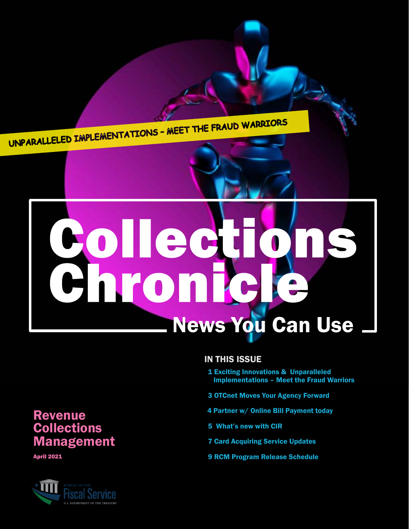<span id="page-0-0"></span>UNPARALLELED IMPLEMENTATIONS – MEET THE FRAUD WARRIORS

# **Collection News You Can Use**

#### IN THIS ISSUE

- [1 Exciting Innovations & Unparalleled](#page-1-0)   [Implementations – Meet the Fraud Warriors](#page-1-0)
- 3 [OTCnet Moves Your Agency Forward](#page-3-0)
- [4 Partner w/ Online Bill Payment today](#page-4-0)
- [5 What's new with CIR](#page-5-0)
- 7 [Card Acquiring Service Updates](#page-7-0)
- 9 [RCM Program Release Schedule](#page-9-0)

### **Revenue Collections** Management

April 2021

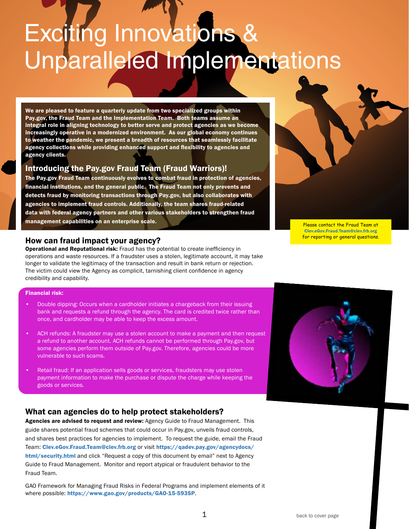# <span id="page-1-0"></span>Exciting Innovations & Unparalleled Implementations

We are pleased to feature a quarterly update from two specialized groups within Pay.gov, the Fraud Team and the Implementation Team. Both teams assume an integral role in aligning technology to better serve and protect agencies as we become increasingly operative in a modernized environment. As our global economy continues to weather the pandemic, we present a breadth of resources that seamlessly facilitate agency collections while providing enhanced support and flexibility to agencies and agency clients.

#### Introducing the Pay.gov Fraud Team (Fraud Warriors)!

The Pay.gov Fraud Team continuously evolves to combat fraud in protection of agencies, financial institutions, and the general public. The Fraud Team not only prevents and detects fraud by monitoring transactions through Pay.gov, but also collaborates with agencies to implement fraud controls. Additionally, the team shares fraud-related data with federal agency partners and other various stakeholders to strengthen fraud management capabilities on an enterprise scale.

#### How can fraud impact your agency?

**Operational and Reputational risk:** Fraud has the potential to create inefficiency in operations and waste resources. If a fraudster uses a stolen, legitimate account, it may take longer to validate the legitimacy of the transaction and result in bank return or rejection. The victim could view the Agency as complicit, tarnishing client confidence in agency credibility and capability.

#### Financial risk:

- Double dipping: Occurs when a cardholder initiates a chargeback from their issuing bank and requests a refund through the agency. The card is credited twice rather than once, and cardholder may be able to keep the excess amount.
- ACH refunds: A fraudster may use a stolen account to make a payment and then request a refund to another account. ACH refunds cannot be performed through Pay.gov, but some agencies perform them outside of Pay.gov. Therefore, agencies could be more vulnerable to such scams.
- Retail fraud: If an application sells goods or services, fraudsters may use stolen payment information to make the purchase or dispute the charge while keeping the goods or services.

#### What can agencies do to help protect stakeholders?

Agencies are advised to request and review: Agency Guide to Fraud Management. This guide shares potential fraud schemes that could occur in Pay.gov, unveils fraud controls, and shares best practices for agencies to implement. To request the guide, email the Fraud Team: [Clev.eGov.Fraud.Team@clev.frb.org](mailto:Clev.eGov.Fraud.Team%40clev.frb.org?subject=) or visit [https://qadev.pay.gov/agencydocs/](https://qadev.pay.gov/agencydocs/html/security.html) [html/security.html](https://qadev.pay.gov/agencydocs/html/security.html) and click "Request a copy of this document by email" next to Agency Guide to Fraud Management. Monitor and report atypical or fraudulent behavior to the Fraud Team.

GAO Framework for Managing Fraud Risks in Federal Programs and implement elements of it where possible: <https://www.gao.gov/products/GAO-15-593SP>.



Please contact the Fraud Team at [Clev.eGov.Fraud.Team@clev.frb.org](mailto:Clev.eGov.Fraud.Team%40clev.frb.org%20?subject=)  for reporting or general questions.

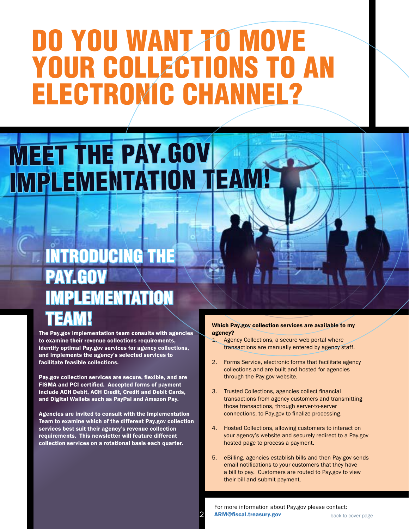### DO YOU WANT TO MOVE YOUR COLLECTIONS TO AN ELECTRONIC CHANNEL?

### MEET THE PAY.GOV IMPLEMENTATION TEA

### INTRODUCING THE PAY.GOV IMPLEMENTATION TEAM!

The Pay.gov implementation team consults with agencies to examine their revenue collections requirements, identify optimal Pay.gov services for agency collections, and implements the agency's selected services to facilitate feasible collections.

Pay.gov collection services are secure, flexible, and are FISMA and PCI certified. Accepted forms of payment include ACH Debit, ACH Credit, Credit and Debit Cards, and Digital Wallets such as PayPal and Amazon Pay.

Agencies are invited to consult with the Implementation Team to examine which of the different Pay.gov collection services best suit their agency's revenue collection requirements. This newsletter will feature different collection services on a rotational basis each quarter.

#### Which Pay.gov collection services are available to my agency?

- 1. Agency Collections, a secure web portal where transactions are manually entered by agency staff.
- 2. Forms Service, electronic forms that facilitate agency collections and are built and hosted for agencies through the Pay.gov website.
- 3. Trusted Collections, agencies collect financial transactions from agency customers and transmitting those transactions, through server-to-server connections, to Pay.gov to finalize processing.
- 4. Hosted Collections, allowing customers to interact on your agency's website and securely redirect to a Pay.gov hosted page to process a payment.
- 5. eBilling, agencies establish bills and then Pay.gov sends email notifications to your customers that they have a bill to pay. Customers are routed to Pay.gov to view their bill and submit payment.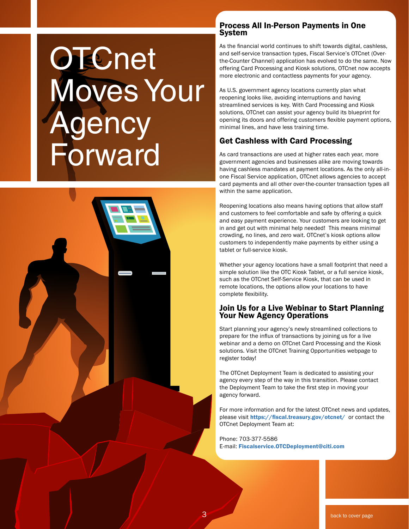# <span id="page-3-0"></span>**OTCnet** Moves Your dency Forward



#### Process All In-Person Payments in One System

As the financial world continues to shift towards digital, cashless, and self-service transaction types, Fiscal Service's OTCnet (Overthe-Counter Channel) application has evolved to do the same. Now offering Card Processing and Kiosk solutions, OTCnet now accepts more electronic and contactless payments for your agency.

As U.S. government agency locations currently plan what reopening looks like, avoiding interruptions and having streamlined services is key. With Card Processing and Kiosk solutions, OTCnet can assist your agency build its blueprint for opening its doors and offering customers flexible payment options, minimal lines, and have less training time.

#### Get Cashless with Card Processing

As card transactions are used at higher rates each year, more government agencies and businesses alike are moving towards having cashless mandates at payment locations. As the only all-inone Fiscal Service application, OTCnet allows agencies to accept card payments and all other over-the-counter transaction types all within the same application.

Reopening locations also means having options that allow staff and customers to feel comfortable and safe by offering a quick and easy payment experience. Your customers are looking to get in and get out with minimal help needed! This means minimal crowding, no lines, and zero wait. OTCnet's kiosk options allow customers to independently make payments by either using a tablet or full-service kiosk.

Whether your agency locations have a small footprint that need a simple solution like the OTC Kiosk Tablet, or a full service kiosk, such as the OTCnet Self-Service Kiosk, that can be used in remote locations, the options allow your locations to have complete flexibility.

#### Join Us for a Live Webinar to Start Planning Your New Agency Operations

Start planning your agency's newly streamlined collections to prepare for the influx of transactions by joining us for a live webinar and a demo on OTCnet Card Processing and the Kiosk solutions. Visit the OTCnet Training Opportunities webpage to register today!

The OTCnet Deployment Team is dedicated to assisting your agency every step of the way in this transition. Please contact the Deployment Team to take the first step in moving your agency forward.

For more information and for the latest OTCnet news and updates, please visit [https://fiscal.treasury.gov/otcnet/]( https://fiscal.treasury.gov/otcnet/) or contact the OTCnet Deployment Team at:

Phone: 703-377-5586 E-mail: [Fiscalservice.OTCDeployment@citi.com](mailto:Fiscalservice.OTCDeployment%40citi.com?subject=)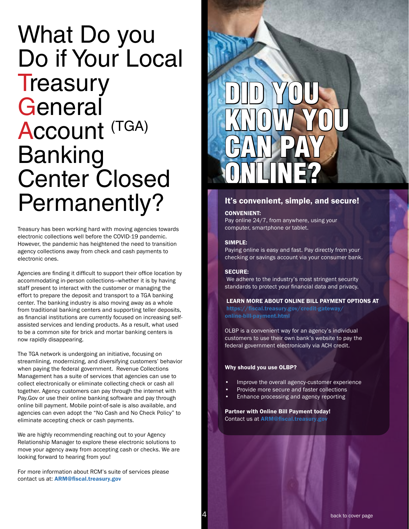### <span id="page-4-0"></span>What Do you Do if Your Local **Treasury** General Account (TGA) Banking Center Closed Permanently?

Treasury has been working hard with moving agencies towards electronic collections well before the COVID-19 pandemic. However, the pandemic has heightened the need to transition agency collections away from check and cash payments to electronic ones.

Agencies are finding it difficult to support their office location by accommodating in-person collections—whether it is by having staff present to interact with the customer or managing the effort to prepare the deposit and transport to a TGA banking center. The banking industry is also moving away as a whole from traditional banking centers and supporting teller deposits, as financial institutions are currently focused on increasing selfassisted services and lending products. As a result, what used to be a common site for brick and mortar banking centers is now rapidly disappearing.

The TGA network is undergoing an initiative, focusing on streamlining, modernizing, and diversifying customers' behavior when paying the federal government. Revenue Collections Management has a suite of services that agencies can use to collect electronically or eliminate collecting check or cash all together. Agency customers can pay through the internet with Pay.Gov or use their online banking software and pay through online bill payment. Mobile point-of-sale is also available, and agencies can even adopt the "No Cash and No Check Policy" to eliminate accepting check or cash payments.

We are highly recommending reaching out to your Agency Relationship Manager to explore these electronic solutions to move your agency away from accepting cash or checks. We are looking forward to hearing from you!

For more information about RCM's suite of services please contact us at: [ARM@fiscal.treasury.gov](mailto:ARM%40fiscal.treasury.gov?subject=)

## DID YOU KNOW YOU CAN PAY ONLINE?

#### It's convenient, simple, and secure!

CONVENIENT:

Pay online 24/7, from anywhere, using your computer, smartphone or tablet.

#### SIMPLE:

Paying online is easy and fast. Pay directly from your checking or savings account via your consumer bank.

#### SECURE:

 We adhere to the industry's most stringent security standards to protect your financial data and privacy.

LEARN MORE ABOUT ONLINE BILL PAYMENT OPTIONS AT

[https://fiscal.treasury.gov/credit-gateway/](https://fiscal.treasury.gov/credit-gateway/online-bill-payment.html ) [online-bill-payment.html](https://fiscal.treasury.gov/credit-gateway/online-bill-payment.html ) 

OLBP is a convenient way for an agency's individual customers to use their own bank's website to pay the federal government electronically via ACH credit.

#### Why should you use OLBP?

- Improve the overall agency-customer experience
- Provide more secure and faster collections
- Enhance processing and agency reporting

Partner with Online Bill Payment today! Contact us at [ARM@fiscal.treasury.gov](mailto:ARM%40fiscal.treasury.gov?subject=)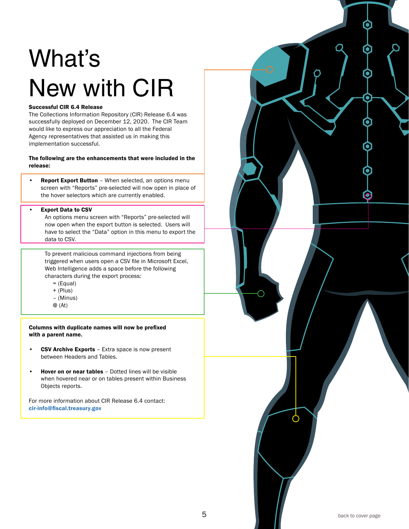### <span id="page-5-0"></span>What's New with CIR

#### Successful CIR 6.4 Release

*continued* successfully deployed on December 12, 2020. The CIR Team The Collections Information Repository (CIR) Release 6.4 was would like to express our appreciation to all the Federal Agency representatives that assisted us in making this implementation successful.

The following are the enhancements that were included in the release:

• Report Export Button - When selected, an options menu screen with "Reports" pre-selected will now open in place of the hover selectors which are currently enabled.

#### • Export Data to CSV

An options menu screen with "Reports" pre-selected will now open when the export button is selected. Users will have to select the "Data" option in this menu to export the data to CSV.

To prevent malicious command injections from being triggered when users open a CSV file in Microsoft Excel, Web Intelligence adds a space before the following characters during the export process:

- = (Equal)
- + (Plus)
- (Minus)
- @ (At)

Columns with duplicate names will now be prefixed with a parent name.

- CSV Archive Exports Extra space is now present between Headers and Tables.
- Hover on or near tables Dotted lines will be visible when hovered near or on tables present within Business Objects reports.

For more information about CIR Release 6.4 contact: [cir-info@fiscal.treasury.gov](http://cir-info@fiscal.treasury.gov)

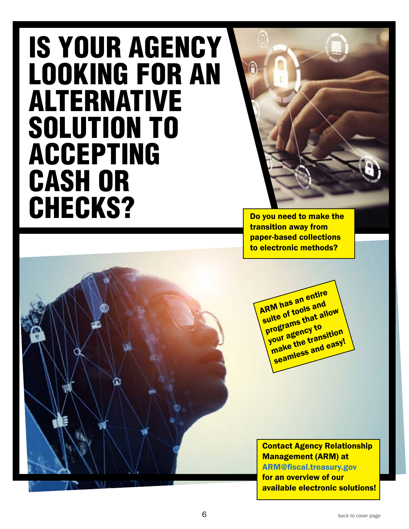### IS YOUR AGENCY LOOKING FOR AN ALTERNATIVE SOLUTION TO ACCEPTING CASH OR CHECKS?



Do you need to make the transition away from paper-based collections to electronic methods?

**ARM has an entire** suite of tools and<br>programs that all<br>programs to programs that allow program<br>your agency to<br>your age and easy! seamless and easy!

Contact Agency Relationship Management (ARM) at [ARM@fiscal.treasury.gov](mailto:ARM%40fiscal.treasury.gov?subject=) for an overview of our available electronic solutions!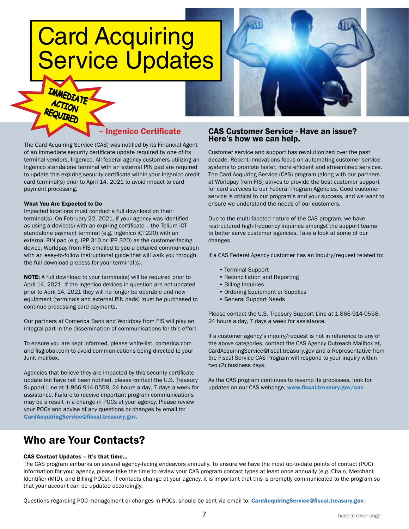### <span id="page-7-0"></span>Card Acquiring Service Updates



#### – Ingenico Certificate

The Card Acquiring Service (CAS) was notified by its Financial Agent of an immediate security certificate update required by one of its terminal vendors, Ingenico. All federal agency customers utilizing an Ingenico standalone terminal with an external PIN pad are required to update this expiring security certificate within your Ingenico credit card terminal(s) prior to April 14, 2021 to avoid impact to card payment processing.

#### What You Are Expected to Do

Impacted locations must conduct a full download on their terminal(s). On February 22, 2021, if your agency was identified as using a device(s) with an expiring certificate -- the Telium iCT standalone payment terminal (e.g. Ingenico iCT220) with an external PIN pad (e.g. iPP 310 or iPP 320) as the customer-facing device, Worldpay from FIS emailed to you a detailed communication with an easy-to-follow instructional guide that will walk you through the full download process for your terminal(s).

NOTE: A full download to your terminal(s) will be required prior to April 14, 2021. If the Ingenico devices in question are not updated prior to April 14, 2021 they will no longer be operable and new equipment (terminals and external PIN pads) must be purchased to continue processing card payments.

Our partners at Comerica Bank and Worldpay from FIS will play an integral part in the dissemination of communications for this effort.

To ensure you are kept informed, please white-list, comerica.com and fisglobal.com to avoid communications being directed to your Junk mailbox.

Agencies that believe they are impacted by this security certificate update but have not been notified, please contact the U.S. Treasury Support Line at 1-866-914-0558, 24 hours a day, 7 days a week for assistance. Failure to receive important program communications may be a result in a change in POCs at your agency. Please review your POCs and advise of any questions or changes by email to: [CardAcquiringService@fiscal.treasury.gov](mailto:CardAcquiringService%40fiscal.treasury.gov?subject=).

#### Who are Your Contacts?

#### CAS Contact Updates – It's that time…

The CAS program embarks on several agency-facing endeavors annually. To ensure we have the most up-to-date points of contact (POC) information for your agency, please take the time to review your CAS program contact types at least once annually (e.g. Chain, Merchant Identifier (MID), and Billing POCs). If contacts change at your agency, it is important that this is promptly communicated to the program so that your account can be updated accordingly.

Questions regarding POC management or changes in POCs, should be sent via email to: [CardAcquiringService@fiscal.treasury.gov.](http://CardAcquiringService@fiscal.treasury.gov)

#### CAS Customer Service - Have an issue? Here's how we can help.

Customer service and support has revolutionized over the past decade. Recent innovations focus on automating customer service systems to promote faster, more efficient and streamlined services. The Card Acquiring Service (CAS) program (along with our partners at Worldpay from FIS) strives to provide the best customer support for card services to our Federal Program Agencies. Good customer service is critical to our program's and your success, and we want to ensure we understand the needs of our customers.

Due to the multi-faceted nature of the CAS program, we have restructured high-frequency inquiries amongst the support teams to better serve customer agencies. Take a look at some of our changes.

If a CAS Federal Agency customer has an inquiry/request related to:

- Terminal Support
- Reconciliation and Reporting
- Billing Inquiries
- Ordering Equipment or Supplies
- General Support Needs

Please contact the U.S. Treasury Support Line at 1-866-914-0558, 24 hours a day, 7 days a week for assistance.

If a customer agency's inquiry/request is not in reference to any of the above categories, contact the CAS Agency Outreach Mailbox at, CardAcquiringService@fiscal.treasury.gov and a Representative from the Fiscal Service CAS Program will respond to your inquiry within two (2) business days.

As the CAS program continues to revamp its processes, look for updates on our CAS webpage, [www.fiscal.treasury.gov/cas](http://www.fiscal.treasury.gov/cas).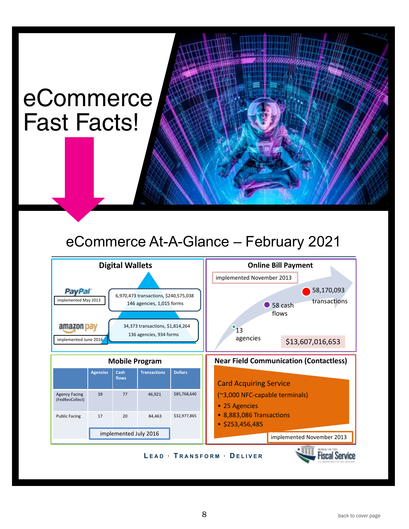### eCommerce Fast Facts!

### eCommerce At-A-Glance – February 2021

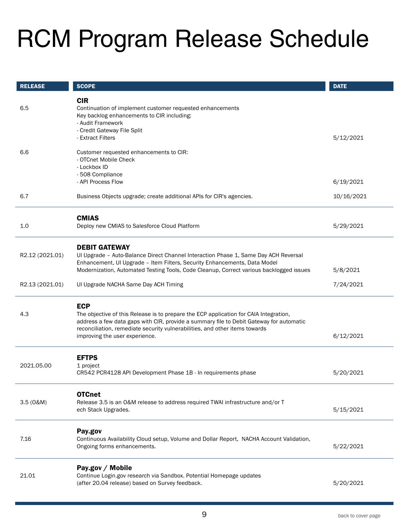### <span id="page-9-0"></span>RCM Program Release Schedule

| <b>RELEASE</b>  | <b>SCOPE</b>                                                                                                                                                                                                                                                                                                    | <b>DATE</b> |
|-----------------|-----------------------------------------------------------------------------------------------------------------------------------------------------------------------------------------------------------------------------------------------------------------------------------------------------------------|-------------|
| 6.5             | <b>CIR</b><br>Continuation of implement customer requested enhancements<br>Key backlog enhancements to CIR including:<br>- Audit Framework<br>- Credit Gateway File Split<br>- Extract Filters                                                                                                                  | 5/12/2021   |
| 6.6             | Customer requested enhancements to CIR:<br>- OTCnet Mobile Check<br>- Lockbox ID<br>- 508 Compliance<br>- API Process Flow                                                                                                                                                                                      | 6/19/2021   |
| 6.7             | Business Objects upgrade; create additional APIs for CIR's agencies.                                                                                                                                                                                                                                            | 10/16/2021  |
| 1.0             | <b>CMIAS</b><br>Deploy new CMIAS to Salesforce Cloud Platform                                                                                                                                                                                                                                                   | 5/29/2021   |
| R2.12 (2021.01) | <b>DEBIT GATEWAY</b><br>UI Upgrade - Auto-Balance Direct Channel Interaction Phase 1, Same Day ACH Reversal<br>Enhancement, UI Upgrade - Item Filters, Security Enhancements, Data Model<br>Modernization, Automated Testing Tools, Code Cleanup, Correct various backlogged issues                             | 5/8/2021    |
| R2.13 (2021.01) | UI Upgrade NACHA Same Day ACH Timing                                                                                                                                                                                                                                                                            | 7/24/2021   |
| 4.3             | <b>ECP</b><br>The objective of this Release is to prepare the ECP application for CAIA Integration,<br>address a few data gaps with CIR, provide a summary file to Debit Gateway for automatic<br>reconciliation, remediate security vulnerabilities, and other items towards<br>improving the user experience. | 6/12/2021   |
| 2021.05.00      | <b>EFTPS</b><br>1 project<br>CR542 PCR4128 API Development Phase 1B - In requirements phase                                                                                                                                                                                                                     | 5/20/2021   |
| 3.5(0&M)        | <b>OTCnet</b><br>Release 3.5 is an O&M release to address required TWAI infrastructure and/or T<br>ech Stack Upgrades.                                                                                                                                                                                          | 5/15/2021   |
| 7.16            | Pay.gov<br>Continuous Availability Cloud setup, Volume and Dollar Report, NACHA Account Validation,<br>Ongoing forms enhancements.                                                                                                                                                                              | 5/22/2021   |
| 21.01           | Pay.gov / Mobile<br>Continue Login.gov research via Sandbox. Potential Homepage updates<br>(after 20.04 release) based on Survey feedback.                                                                                                                                                                      | 5/20/2021   |